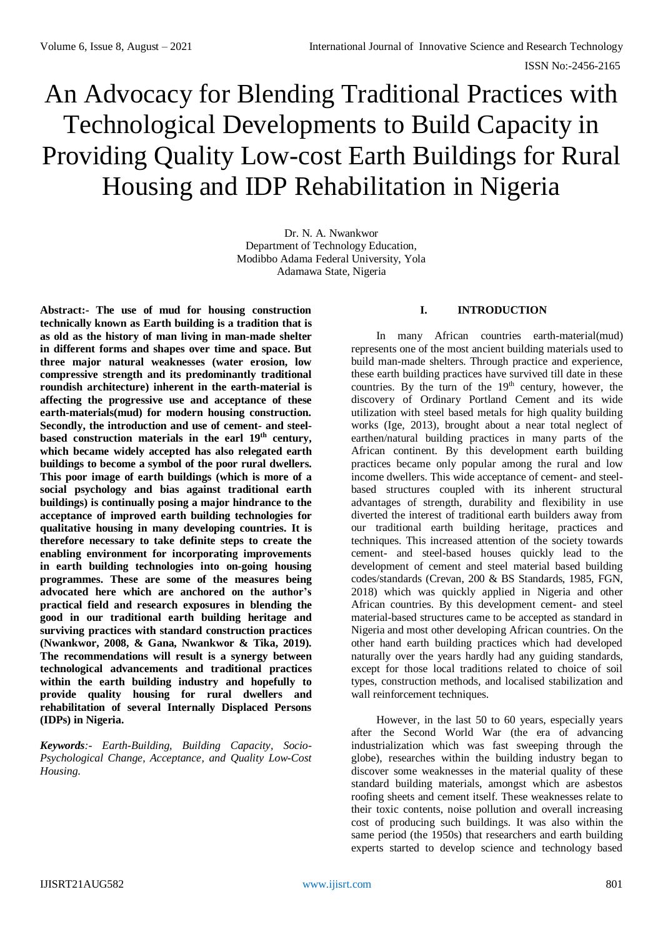ISSN No:-2456-2165

# An Advocacy for Blending Traditional Practices with Technological Developments to Build Capacity in Providing Quality Low-cost Earth Buildings for Rural Housing and IDP Rehabilitation in Nigeria

Dr. N. A. Nwankwor Department of Technology Education, Modibbo Adama Federal University, Yola Adamawa State, Nigeria

**Abstract:- The use of mud for housing construction technically known as Earth building is a tradition that is as old as the history of man living in man-made shelter in different forms and shapes over time and space. But three major natural weaknesses (water erosion, low compressive strength and its predominantly traditional roundish architecture) inherent in the earth-material is affecting the progressive use and acceptance of these earth-materials(mud) for modern housing construction. Secondly, the introduction and use of cement- and steelbased construction materials in the earl 19th century, which became widely accepted has also relegated earth buildings to become a symbol of the poor rural dwellers. This poor image of earth buildings (which is more of a social psychology and bias against traditional earth buildings) is continually posing a major hindrance to the acceptance of improved earth building technologies for qualitative housing in many developing countries. It is therefore necessary to take definite steps to create the enabling environment for incorporating improvements in earth building technologies into on-going housing programmes. These are some of the measures being advocated here which are anchored on the author's practical field and research exposures in blending the good in our traditional earth building heritage and surviving practices with standard construction practices (Nwankwor, 2008, & Gana, Nwankwor & Tika, 2019). The recommendations will result is a synergy between technological advancements and traditional practices within the earth building industry and hopefully to provide quality housing for rural dwellers and rehabilitation of several Internally Displaced Persons (IDPs) in Nigeria.**

*Keywords:- Earth-Building, Building Capacity, Socio-Psychological Change, Acceptance, and Quality Low-Cost Housing.* 

# **I. INTRODUCTION**

In many African countries earth-material(mud) represents one of the most ancient building materials used to build man-made shelters. Through practice and experience, these earth building practices have survived till date in these countries. By the turn of the 19<sup>th</sup> century, however, the discovery of Ordinary Portland Cement and its wide utilization with steel based metals for high quality building works (Ige, 2013), brought about a near total neglect of earthen/natural building practices in many parts of the African continent. By this development earth building practices became only popular among the rural and low income dwellers. This wide acceptance of cement- and steelbased structures coupled with its inherent structural advantages of strength, durability and flexibility in use diverted the interest of traditional earth builders away from our traditional earth building heritage, practices and techniques. This increased attention of the society towards cement- and steel-based houses quickly lead to the development of cement and steel material based building codes/standards (Crevan, 200 & BS Standards, 1985, FGN, 2018) which was quickly applied in Nigeria and other African countries. By this development cement- and steel material-based structures came to be accepted as standard in Nigeria and most other developing African countries. On the other hand earth building practices which had developed naturally over the years hardly had any guiding standards, except for those local traditions related to choice of soil types, construction methods, and localised stabilization and wall reinforcement techniques.

However, in the last 50 to 60 years, especially years after the Second World War (the era of advancing industrialization which was fast sweeping through the globe), researches within the building industry began to discover some weaknesses in the material quality of these standard building materials, amongst which are asbestos roofing sheets and cement itself. These weaknesses relate to their toxic contents, noise pollution and overall increasing cost of producing such buildings. It was also within the same period (the 1950s) that researchers and earth building experts started to develop science and technology based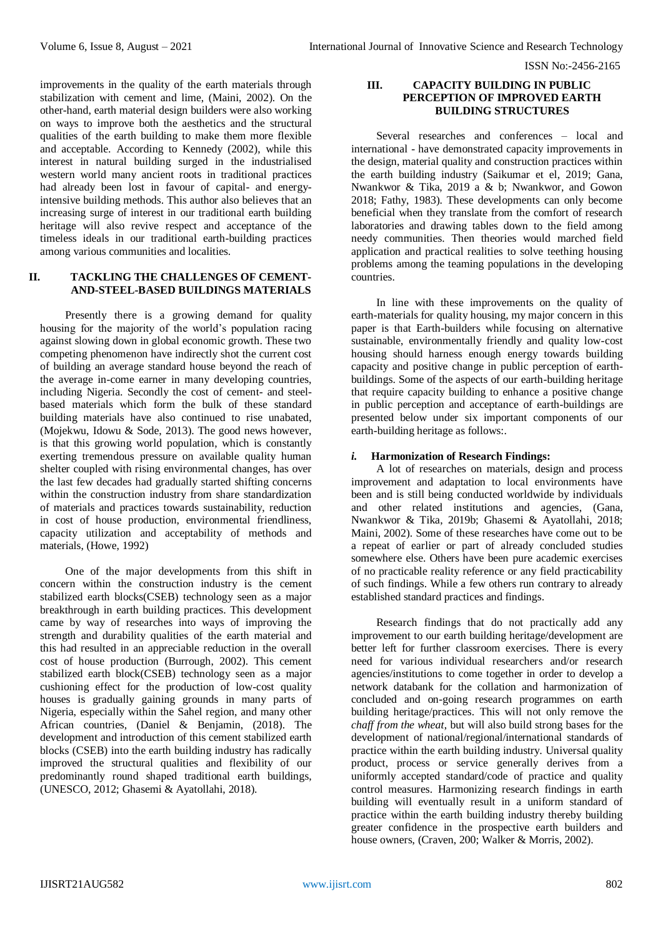improvements in the quality of the earth materials through stabilization with cement and lime, (Maini, 2002). On the other-hand, earth material design builders were also working on ways to improve both the aesthetics and the structural qualities of the earth building to make them more flexible and acceptable. According to Kennedy (2002), while this interest in natural building surged in the industrialised western world many ancient roots in traditional practices had already been lost in favour of capital- and energyintensive building methods. This author also believes that an increasing surge of interest in our traditional earth building heritage will also revive respect and acceptance of the timeless ideals in our traditional earth-building practices among various communities and localities.

# **II. TACKLING THE CHALLENGES OF CEMENT-AND-STEEL-BASED BUILDINGS MATERIALS**

Presently there is a growing demand for quality housing for the majority of the world's population racing against slowing down in global economic growth. These two competing phenomenon have indirectly shot the current cost of building an average standard house beyond the reach of the average in-come earner in many developing countries, including Nigeria. Secondly the cost of cement- and steelbased materials which form the bulk of these standard building materials have also continued to rise unabated, (Mojekwu, Idowu & Sode, 2013). The good news however, is that this growing world population, which is constantly exerting tremendous pressure on available quality human shelter coupled with rising environmental changes, has over the last few decades had gradually started shifting concerns within the construction industry from share standardization of materials and practices towards sustainability, reduction in cost of house production, environmental friendliness, capacity utilization and acceptability of methods and materials, (Howe, 1992)

One of the major developments from this shift in concern within the construction industry is the cement stabilized earth blocks(CSEB) technology seen as a major breakthrough in earth building practices. This development came by way of researches into ways of improving the strength and durability qualities of the earth material and this had resulted in an appreciable reduction in the overall cost of house production (Burrough, 2002). This cement stabilized earth block(CSEB) technology seen as a major cushioning effect for the production of low-cost quality houses is gradually gaining grounds in many parts of Nigeria, especially within the Sahel region, and many other African countries, (Daniel & Benjamin, (2018). The development and introduction of this cement stabilized earth blocks (CSEB) into the earth building industry has radically improved the structural qualities and flexibility of our predominantly round shaped traditional earth buildings, (UNESCO, 2012; Ghasemi & Ayatollahi, 2018).

## **III. CAPACITY BUILDING IN PUBLIC PERCEPTION OF IMPROVED EARTH BUILDING STRUCTURES**

Several researches and conferences – local and international - have demonstrated capacity improvements in the design, material quality and construction practices within the earth building industry (Saikumar et el, 2019; Gana, Nwankwor & Tika, 2019 a & b; Nwankwor, and Gowon 2018; Fathy, 1983). These developments can only become beneficial when they translate from the comfort of research laboratories and drawing tables down to the field among needy communities. Then theories would marched field application and practical realities to solve teething housing problems among the teaming populations in the developing countries.

In line with these improvements on the quality of earth-materials for quality housing, my major concern in this paper is that Earth-builders while focusing on alternative sustainable, environmentally friendly and quality low-cost housing should harness enough energy towards building capacity and positive change in public perception of earthbuildings. Some of the aspects of our earth-building heritage that require capacity building to enhance a positive change in public perception and acceptance of earth-buildings are presented below under six important components of our earth-building heritage as follows:.

# *i.* **Harmonization of Research Findings:**

A lot of researches on materials, design and process improvement and adaptation to local environments have been and is still being conducted worldwide by individuals and other related institutions and agencies, (Gana, Nwankwor & Tika, 2019b; Ghasemi & Ayatollahi, 2018; Maini, 2002). Some of these researches have come out to be a repeat of earlier or part of already concluded studies somewhere else. Others have been pure academic exercises of no practicable reality reference or any field practicability of such findings. While a few others run contrary to already established standard practices and findings.

Research findings that do not practically add any improvement to our earth building heritage/development are better left for further classroom exercises. There is every need for various individual researchers and/or research agencies/institutions to come together in order to develop a network databank for the collation and harmonization of concluded and on-going research programmes on earth building heritage/practices. This will not only remove the *chaff from the wheat*, but will also build strong bases for the development of national/regional/international standards of practice within the earth building industry. Universal quality product, process or service generally derives from a uniformly accepted standard/code of practice and quality control measures. Harmonizing research findings in earth building will eventually result in a uniform standard of practice within the earth building industry thereby building greater confidence in the prospective earth builders and house owners, (Craven, 200; Walker & Morris, 2002).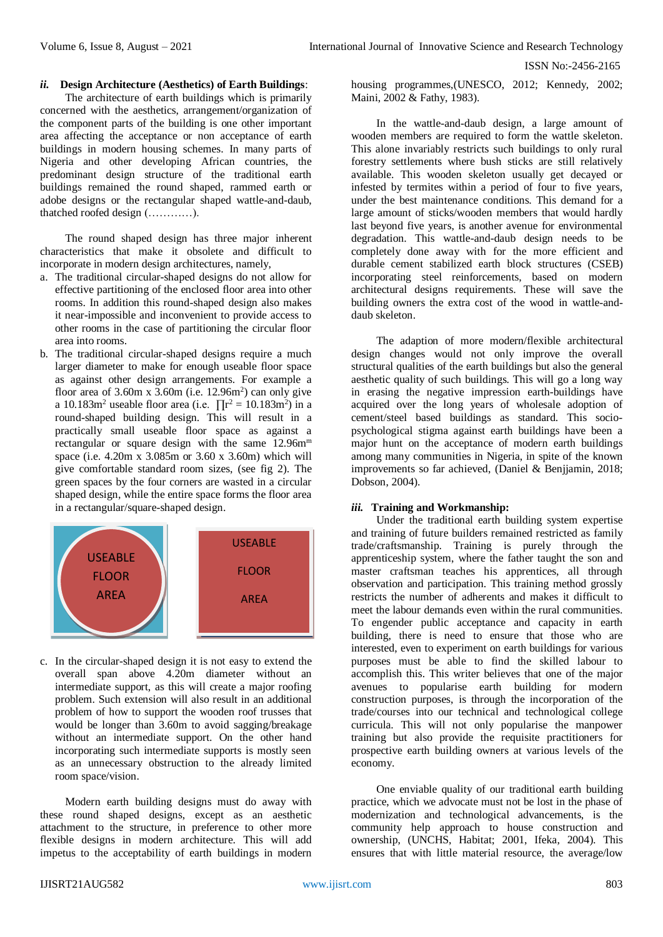#### *ii.* **Design Architecture (Aesthetics) of Earth Buildings**:

The architecture of earth buildings which is primarily concerned with the aesthetics, arrangement/organization of the component parts of the building is one other important area affecting the acceptance or non acceptance of earth buildings in modern housing schemes. In many parts of Nigeria and other developing African countries, the predominant design structure of the traditional earth buildings remained the round shaped, rammed earth or adobe designs or the rectangular shaped wattle-and-daub, thatched roofed design (…………).

The round shaped design has three major inherent characteristics that make it obsolete and difficult to incorporate in modern design architectures, namely,

- a. The traditional circular-shaped designs do not allow for effective partitioning of the enclosed floor area into other rooms. In addition this round-shaped design also makes it near-impossible and inconvenient to provide access to other rooms in the case of partitioning the circular floor area into rooms.
- b. The traditional circular-shaped designs require a much larger diameter to make for enough useable floor space as against other design arrangements. For example a floor area of  $3.60m \times 3.60m$  (i.e.  $12.96m^2$ ) can only give a 10.183m<sup>2</sup> useable floor area (i.e.  $\prod_{i=1}^{n} r^2 = 10.183 \text{ m}^2$ ) in a round-shaped building design. This will result in a practically small useable floor space as against a rectangular or square design with the same  $12.96$ m<sup>m</sup> space (i.e.  $4.20 \text{m} \times 3.085 \text{m}$  or  $3.60 \times 3.60 \text{m}$ ) which will give comfortable standard room sizes, (see fig 2). The green spaces by the four corners are wasted in a circular shaped design, while the entire space forms the floor area in a rectangular/square-shaped design.



c. In the circular-shaped design it is not easy to extend the overall span above 4.20m diameter without an intermediate support, as this will create a major roofing problem. Such extension will also result in an additional problem of how to support the wooden roof trusses that would be longer than 3.60m to avoid sagging/breakage without an intermediate support. On the other hand incorporating such intermediate supports is mostly seen as an unnecessary obstruction to the already limited room space/vision.

Modern earth building designs must do away with these round shaped designs, except as an aesthetic attachment to the structure, in preference to other more flexible designs in modern architecture. This will add impetus to the acceptability of earth buildings in modern housing programmes,(UNESCO, 2012; Kennedy, 2002; Maini, 2002 & Fathy, 1983).

In the wattle-and-daub design, a large amount of wooden members are required to form the wattle skeleton. This alone invariably restricts such buildings to only rural forestry settlements where bush sticks are still relatively available. This wooden skeleton usually get decayed or infested by termites within a period of four to five years, under the best maintenance conditions. This demand for a large amount of sticks/wooden members that would hardly last beyond five years, is another avenue for environmental degradation. This wattle-and-daub design needs to be completely done away with for the more efficient and durable cement stabilized earth block structures (CSEB) incorporating steel reinforcements, based on modern architectural designs requirements. These will save the building owners the extra cost of the wood in wattle-anddaub skeleton.

The adaption of more modern/flexible architectural design changes would not only improve the overall structural qualities of the earth buildings but also the general aesthetic quality of such buildings. This will go a long way in erasing the negative impression earth-buildings have acquired over the long years of wholesale adoption of cement/steel based buildings as standard. This sociopsychological stigma against earth buildings have been a major hunt on the acceptance of modern earth buildings among many communities in Nigeria, in spite of the known improvements so far achieved, (Daniel & Benjjamin, 2018; Dobson, 2004).

## *iii.* **Training and Workmanship:**

Under the traditional earth building system expertise and training of future builders remained restricted as family trade/craftsmanship. Training is purely through the apprenticeship system, where the father taught the son and master craftsman teaches his apprentices, all through observation and participation. This training method grossly restricts the number of adherents and makes it difficult to meet the labour demands even within the rural communities. To engender public acceptance and capacity in earth building, there is need to ensure that those who are interested, even to experiment on earth buildings for various purposes must be able to find the skilled labour to accomplish this. This writer believes that one of the major avenues to popularise earth building for modern construction purposes, is through the incorporation of the trade/courses into our technical and technological college curricula. This will not only popularise the manpower training but also provide the requisite practitioners for prospective earth building owners at various levels of the economy.

One enviable quality of our traditional earth building practice, which we advocate must not be lost in the phase of modernization and technological advancements, is the community help approach to house construction and ownership, (UNCHS, Habitat; 2001, Ifeka, 2004). This ensures that with little material resource, the average/low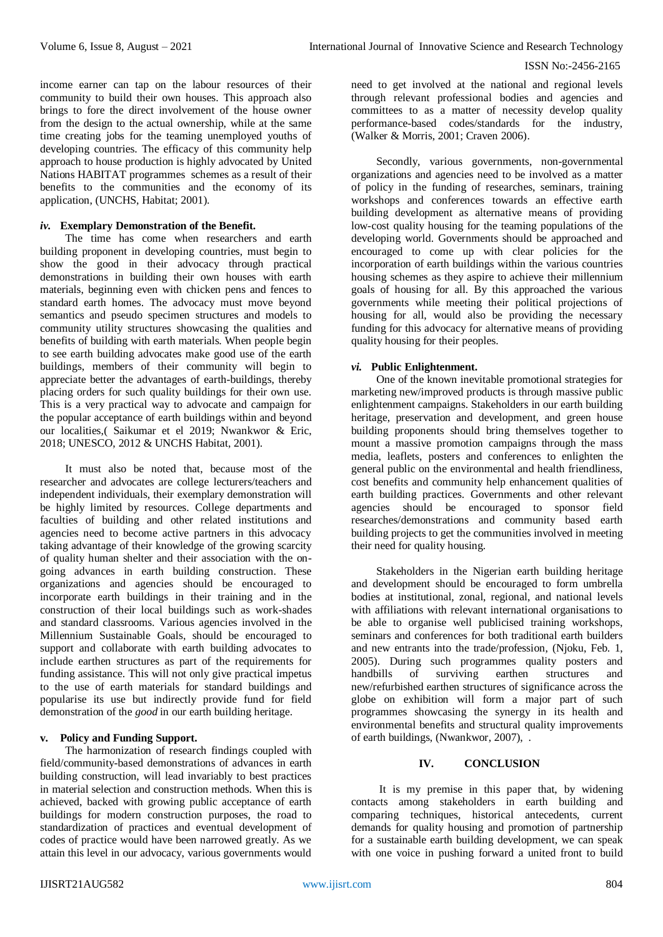income earner can tap on the labour resources of their community to build their own houses. This approach also brings to fore the direct involvement of the house owner from the design to the actual ownership, while at the same time creating jobs for the teaming unemployed youths of developing countries. The efficacy of this community help approach to house production is highly advocated by United Nations HABITAT programmes schemes as a result of their benefits to the communities and the economy of its application, (UNCHS, Habitat; 2001).

#### *iv.* **Exemplary Demonstration of the Benefit.**

The time has come when researchers and earth building proponent in developing countries, must begin to show the good in their advocacy through practical demonstrations in building their own houses with earth materials, beginning even with chicken pens and fences to standard earth homes. The advocacy must move beyond semantics and pseudo specimen structures and models to community utility structures showcasing the qualities and benefits of building with earth materials. When people begin to see earth building advocates make good use of the earth buildings, members of their community will begin to appreciate better the advantages of earth-buildings, thereby placing orders for such quality buildings for their own use. This is a very practical way to advocate and campaign for the popular acceptance of earth buildings within and beyond our localities,( Saikumar et el 2019; Nwankwor & Eric, 2018; UNESCO, 2012 & UNCHS Habitat, 2001).

It must also be noted that, because most of the researcher and advocates are college lecturers/teachers and independent individuals, their exemplary demonstration will be highly limited by resources. College departments and faculties of building and other related institutions and agencies need to become active partners in this advocacy taking advantage of their knowledge of the growing scarcity of quality human shelter and their association with the ongoing advances in earth building construction. These organizations and agencies should be encouraged to incorporate earth buildings in their training and in the construction of their local buildings such as work-shades and standard classrooms. Various agencies involved in the Millennium Sustainable Goals, should be encouraged to support and collaborate with earth building advocates to include earthen structures as part of the requirements for funding assistance. This will not only give practical impetus to the use of earth materials for standard buildings and popularise its use but indirectly provide fund for field demonstration of the *good* in our earth building heritage.

## **v. Policy and Funding Support.**

The harmonization of research findings coupled with field/community-based demonstrations of advances in earth building construction, will lead invariably to best practices in material selection and construction methods. When this is achieved, backed with growing public acceptance of earth buildings for modern construction purposes, the road to standardization of practices and eventual development of codes of practice would have been narrowed greatly. As we attain this level in our advocacy, various governments would

need to get involved at the national and regional levels through relevant professional bodies and agencies and committees to as a matter of necessity develop quality performance-based codes/standards for the industry, (Walker & Morris, 2001; Craven 2006).

Secondly, various governments, non-governmental organizations and agencies need to be involved as a matter of policy in the funding of researches, seminars, training workshops and conferences towards an effective earth building development as alternative means of providing low-cost quality housing for the teaming populations of the developing world. Governments should be approached and encouraged to come up with clear policies for the incorporation of earth buildings within the various countries housing schemes as they aspire to achieve their millennium goals of housing for all. By this approached the various governments while meeting their political projections of housing for all, would also be providing the necessary funding for this advocacy for alternative means of providing quality housing for their peoples.

#### *vi.* **Public Enlightenment.**

One of the known inevitable promotional strategies for marketing new/improved products is through massive public enlightenment campaigns. Stakeholders in our earth building heritage, preservation and development, and green house building proponents should bring themselves together to mount a massive promotion campaigns through the mass media, leaflets, posters and conferences to enlighten the general public on the environmental and health friendliness, cost benefits and community help enhancement qualities of earth building practices. Governments and other relevant agencies should be encouraged to sponsor field researches/demonstrations and community based earth building projects to get the communities involved in meeting their need for quality housing.

Stakeholders in the Nigerian earth building heritage and development should be encouraged to form umbrella bodies at institutional, zonal, regional, and national levels with affiliations with relevant international organisations to be able to organise well publicised training workshops, seminars and conferences for both traditional earth builders and new entrants into the trade/profession, (Njoku, Feb. 1, 2005). During such programmes quality posters and handbills of surviving earthen structures and new/refurbished earthen structures of significance across the globe on exhibition will form a major part of such programmes showcasing the synergy in its health and environmental benefits and structural quality improvements of earth buildings, (Nwankwor, 2007), .

## **IV. CONCLUSION**

It is my premise in this paper that, by widening contacts among stakeholders in earth building and comparing techniques, historical antecedents, current demands for quality housing and promotion of partnership for a sustainable earth building development, we can speak with one voice in pushing forward a united front to build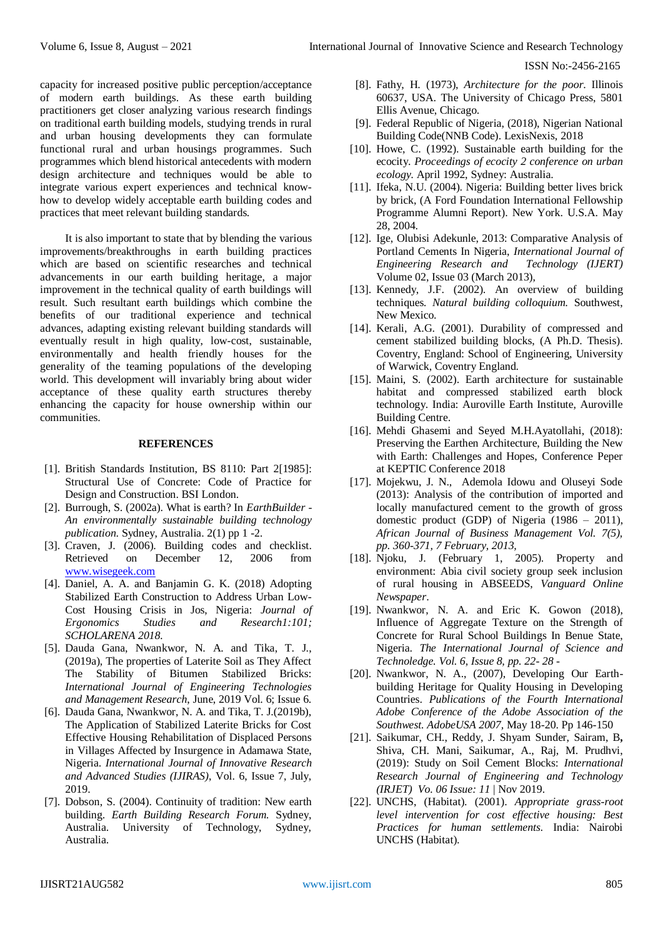capacity for increased positive public perception/acceptance of modern earth buildings. As these earth building practitioners get closer analyzing various research findings on traditional earth building models, studying trends in rural and urban housing developments they can formulate functional rural and urban housings programmes. Such programmes which blend historical antecedents with modern design architecture and techniques would be able to integrate various expert experiences and technical knowhow to develop widely acceptable earth building codes and practices that meet relevant building standards.

It is also important to state that by blending the various improvements/breakthroughs in earth building practices which are based on scientific researches and technical advancements in our earth building heritage, a major improvement in the technical quality of earth buildings will result. Such resultant earth buildings which combine the benefits of our traditional experience and technical advances, adapting existing relevant building standards will eventually result in high quality, low-cost, sustainable, environmentally and health friendly houses for the generality of the teaming populations of the developing world. This development will invariably bring about wider acceptance of these quality earth structures thereby enhancing the capacity for house ownership within our communities.

#### **REFERENCES**

- [1]. British Standards Institution, BS 8110: Part 2[1985]: Structural Use of Concrete: Code of Practice for Design and Construction. BSI London.
- [2]. Burrough, S. (2002a). What is earth? In *EarthBuilder - An environmentally sustainable building technology publication*. Sydney, Australia. 2(1) pp 1 -2.
- [3]. Craven, J. (2006). Building codes and checklist. Retrieved on December 12, 2006 from [www.wisegeek.com](http://www.wisegeek.com/)
- [4]. Daniel, A. A. and Banjamin G. K. (2018) Adopting Stabilized Earth Construction to Address Urban Low-Cost Housing Crisis in Jos, Nigeria: *Journal of Ergonomics Studies and Research1:101; SCHOLARENA 2018.*
- [5]. Dauda Gana, Nwankwor, N. A. and Tika, T. J., (2019a), The properties of Laterite Soil as They Affect The Stability of Bitumen Stabilized Bricks: *International Journal of Engineering Technologies and Management Research*, June, 2019 Vol. 6; Issue 6.
- [6]. Dauda Gana, Nwankwor, N. A. and Tika, T. J.(2019b), The Application of Stabilized Laterite Bricks for Cost Effective Housing Rehabilitation of Displaced Persons in Villages Affected by Insurgence in Adamawa State, Nigeria. *International Journal of Innovative Research and Advanced Studies (IJIRAS)*, Vol. 6, Issue 7, July, 2019.
- [7]. Dobson, S. (2004). Continuity of tradition: New earth building. *Earth Building Research Forum.* Sydney, Australia. University of Technology, Sydney, Australia.
- [8]. Fathy, H. (1973), *Architecture for the poor*. Illinois 60637, USA. The University of Chicago Press, 5801 Ellis Avenue, Chicago.
- [9]. Federal Republic of Nigeria, (2018), Nigerian National Building Code(NNB Code). LexisNexis, 2018
- [10]. Howe, C. (1992). Sustainable earth building for the ecocity. *Proceedings of ecocity 2 conference on urban ecology.* April 1992, Sydney: Australia.
- [11]. Ifeka, N.U. (2004). Nigeria: Building better lives brick by brick, (A Ford Foundation International Fellowship Programme Alumni Report). New York. U.S.A. May 28, 2004.
- [12]. Ige, Olubisi Adekunle, 2013: Comparative Analysis of Portland Cements In Nigeria, *International Journal of Engineering Research and Technology (IJERT)* Volume 02, Issue 03 (March 2013),
- [13]. Kennedy, J.F. (2002). An overview of building techniques*. Natural building colloquium.* Southwest, New Mexico.
- [14]. Kerali, A.G. (2001). Durability of compressed and cement stabilized building blocks, (A Ph.D. Thesis). Coventry, England: School of Engineering, University of Warwick, Coventry England.
- [15]. Maini, S. (2002). Earth architecture for sustainable habitat and compressed stabilized earth block technology. India: Auroville Earth Institute, Auroville Building Centre.
- [16]. Mehdi Ghasemi and Seyed M.H.Ayatollahi, (2018): Preserving the Earthen Architecture, Building the New with Earth: Challenges and Hopes, Conference Peper at KEPTIC Conference 2018
- [17]. Mojekwu, J. N., Ademola Idowu and Oluseyi Sode (2013): Analysis of the contribution of imported and locally manufactured cement to the growth of gross domestic product (GDP) of Nigeria (1986 – 2011), *African Journal of Business Management Vol. 7(5), pp. 360-371, 7 February, 2013,*
- [18]. Njoku, J. (February 1, 2005). Property and environment: Abia civil society group seek inclusion of rural housing in ABSEEDS, *Vanguard Online Newspaper*.
- [19]. Nwankwor, N. A. and Eric K. Gowon (2018), Influence of Aggregate Texture on the Strength of Concrete for Rural School Buildings In Benue State, Nigeria. *The International Journal of Science and Technoledge. Vol. 6, Issue 8, pp. 22- 28* -
- [20]. Nwankwor, N. A., (2007), Developing Our Earthbuilding Heritage for Quality Housing in Developing Countries. *Publications of the Fourth International Adobe Conference of the Adobe Association of the Southwest. AdobeUSA 2007,* May 18-20. Pp 146-150
- [21]. Saikumar, CH., Reddy, J. Shyam Sunder, Sairam, B**,** Shiva, CH. Mani, Saikumar, A., Raj, M. Prudhvi, (2019): Study on Soil Cement Blocks: *International Research Journal of Engineering and Technology (IRJET) Vo. 06 Issue: 11* | Nov 2019.
- [22]. UNCHS, (Habitat). (2001). *Appropriate grass-root level intervention for cost effective housing: Best Practices for human settlements.* India: Nairobi UNCHS (Habitat).